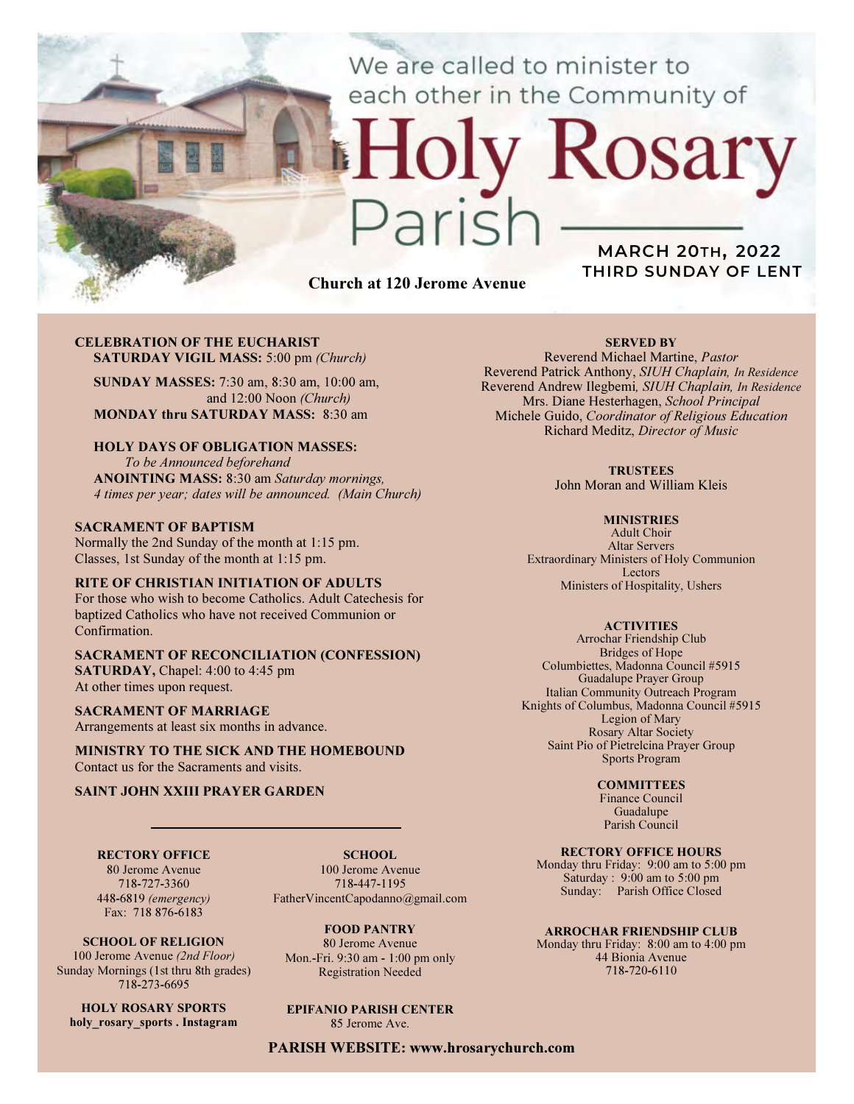We are called to minister to each other in the Community of

# Church at 120 Jerome Avenue

 $2715$ 

# MARCH 20TH, 2022 THIRD SUNDAY OF LENT

Rosary

#### CELEBRATION OF THE EUCHARIST SATURDAY VIGIL MASS: 5:00 pm (Church)

SUNDAY MASSES: 7:30 am, 8:30 am, 10:00 am, and 12:00 Noon (Church) MONDAY thru SATURDAY MASS: 8:30 am

## HOLY DAYS OF OBLIGATION MASSES:

To be Announced beforehand ANOINTING MASS: 8:30 am Saturday mornings, 4 times per year; dates will be announced. (Main Church)

### SACRAMENT OF BAPTISM

Normally the 2nd Sunday of the month at 1:15 pm. Classes, 1st Sunday of the month at 1:15 pm.

## RITE OF CHRISTIAN INITIATION OF ADULTS

For those who wish to become Catholics. Adult Catechesis for baptized Catholics who have not received Communion or Confirmation.

#### SACRAMENT OF RECONCILIATION (CONFESSION) SATURDAY, Chapel: 4:00 to 4:45 pm At other times upon request.

SACRAMENT OF MARRIAGE

Arrangements at least six months in advance.

MINISTRY TO THE SICK AND THE HOMEBOUND Contact us for the Sacraments and visits.

## SAINT JOHN XXIII PRAYER GARDEN

RECTORY OFFICE 80 Jerome Avenue 718-727-3360

448-6819 (emergency)

SCHOOL. 100 Jerome Avenue 718-447-1195 FatherVincentCapodanno@gmail.com

Fax: 718 876-6183 SCHOOL OF RELIGION 100 Jerome Avenue (2nd Floor)

Sunday Mornings (1st thru 8th grades) 718-273-6695

HOLY ROSARY SPORTS holy rosary sports . Instagram FOOD PANTRY

80 Jerome Avenue Mon.-Fri. 9:30 am - 1:00 pm only Registration Needed

# EPIFANIO PARISH CENTER

85 Jerome Ave.

PARISH WEBSITE: www.hrosarychurch.com

## SERVED BY

Reverend Michael Martine, Pastor Reverend Patrick Anthony, SIUH Chaplain, In Residence Reverend Andrew Ilegbemi, SIUH Chaplain, In Residence Mrs. Diane Hesterhagen, School Principal Michele Guido, Coordinator of Religious Education Richard Meditz, Director of Music

#### **TRUSTEES**

John Moran and William Kleis

#### **MINISTRIES**

Adult Choir Altar Servers Extraordinary Ministers of Holy Communion Lectors Ministers of Hospitality, Ushers

#### **ACTIVITIES**

Arrochar Friendship Club Bridges of Hope Columbiettes, Madonna Council #5915 Guadalupe Prayer Group Italian Community Outreach Program Knights of Columbus, Madonna Council #5915 Legion of Mary Rosary Altar Society Saint Pio of Pietrelcina Prayer Group Sports Program

#### **COMMITTEES**

Finance Council Guadalupe Parish Council

## RECTORY OFFICE HOURS

Monday thru Friday: 9:00 am to 5:00 pm Saturday : 9:00 am to 5:00 pm Sunday: Parish Office Closed

#### ARROCHAR FRIENDSHIP CLUB

Monday thru Friday: 8:00 am to 4:00 pm 44 Bionia Avenue 718-720-6110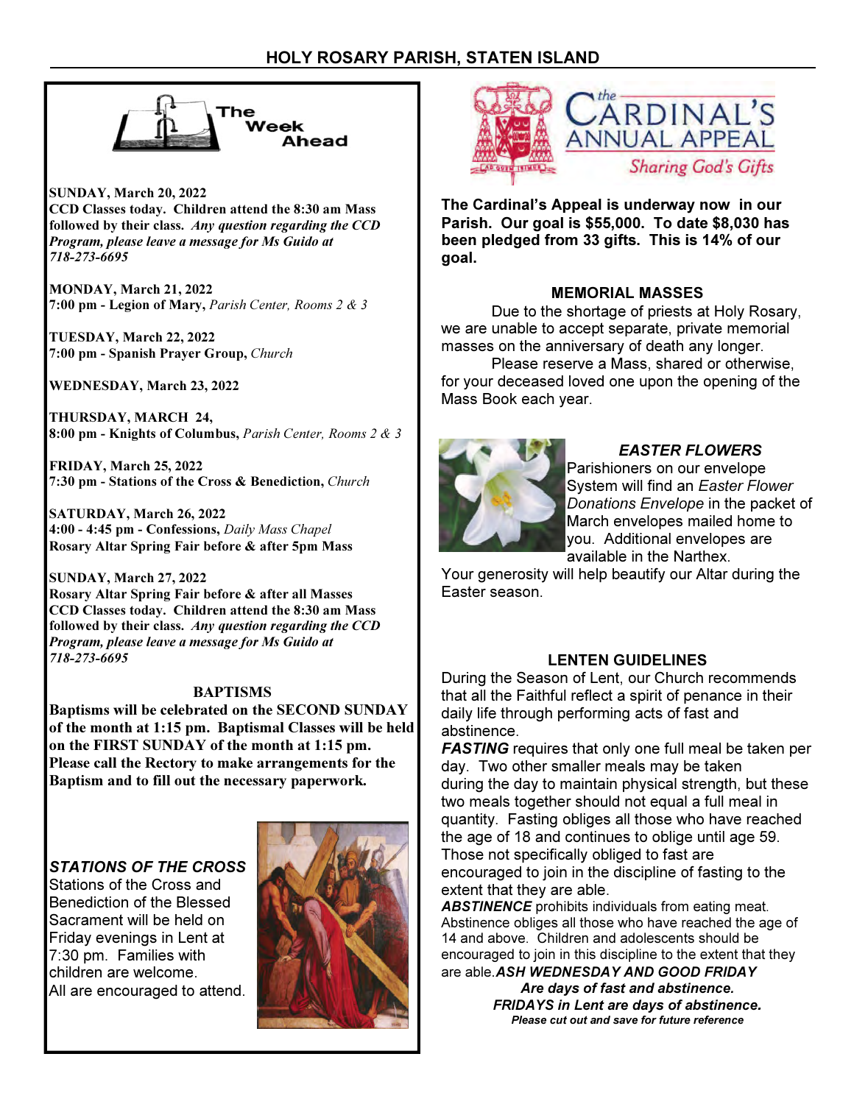

SUNDAY, March 20, 2022 CCD Classes today. Children attend the 8:30 am Mass followed by their class. Any question regarding the CCD Program, please leave a message for Ms Guido at 718-273-6695

MONDAY, March 21, 2022 7:00 pm - Legion of Mary, Parish Center, Rooms 2 & 3

TUESDAY, March 22, 2022 7:00 pm - Spanish Prayer Group, Church

WEDNESDAY, March 23, 2022

THURSDAY, MARCH 24, 8:00 pm - Knights of Columbus, Parish Center, Rooms 2 & 3

FRIDAY, March 25, 2022 7:30 pm - Stations of the Cross & Benediction, Church

SATURDAY, March 26, 2022 4:00 - 4:45 pm - Confessions, Daily Mass Chapel Rosary Altar Spring Fair before & after 5pm Mass

SUNDAY, March 27, 2022 Rosary Altar Spring Fair before & after all Masses CCD Classes today. Children attend the 8:30 am Mass followed by their class. Any question regarding the CCD Program, please leave a message for Ms Guido at 718-273-6695

# BAPTISMS

Baptisms will be celebrated on the SECOND SUNDAY of the month at 1:15 pm. Baptismal Classes will be held on the FIRST SUNDAY of the month at 1:15 pm. Please call the Rectory to make arrangements for the Baptism and to fill out the necessary paperwork.

# STATIONS OF THE CROSS

Stations of the Cross and Benediction of the Blessed Sacrament will be held on Friday evenings in Lent at 7:30 pm. Families with children are welcome. All are encouraged to attend.





The Cardinal's Appeal is underway now in our Parish. Our goal is \$55,000. To date \$8,030 has been pledged from 33 gifts. This is 14% of our goal.

# MEMORIAL MASSES

 Due to the shortage of priests at Holy Rosary, we are unable to accept separate, private memorial masses on the anniversary of death any longer.

 Please reserve a Mass, shared or otherwise, for your deceased loved one upon the opening of the Mass Book each year.



# EASTER FLOWERS

Parishioners on our envelope System will find an Easter Flower Donations Envelope in the packet of March envelopes mailed home to you. Additional envelopes are available in the Narthex.

Your generosity will help beautify our Altar during the Easter season.

# LENTEN GUIDELINES

During the Season of Lent, our Church recommends that all the Faithful reflect a spirit of penance in their daily life through performing acts of fast and abstinence.

**FASTING** requires that only one full meal be taken per day. Two other smaller meals may be taken during the day to maintain physical strength, but these two meals together should not equal a full meal in quantity. Fasting obliges all those who have reached the age of 18 and continues to oblige until age 59. Those not specifically obliged to fast are encouraged to join in the discipline of fasting to the extent that they are able.

**ABSTINENCE** prohibits individuals from eating meat. Abstinence obliges all those who have reached the age of 14 and above. Children and adolescents should be encouraged to join in this discipline to the extent that they are able. ASH WEDNESDAY AND GOOD FRIDAY

> Are days of fast and abstinence. FRIDAYS in Lent are days of abstinence. Please cut out and save for future reference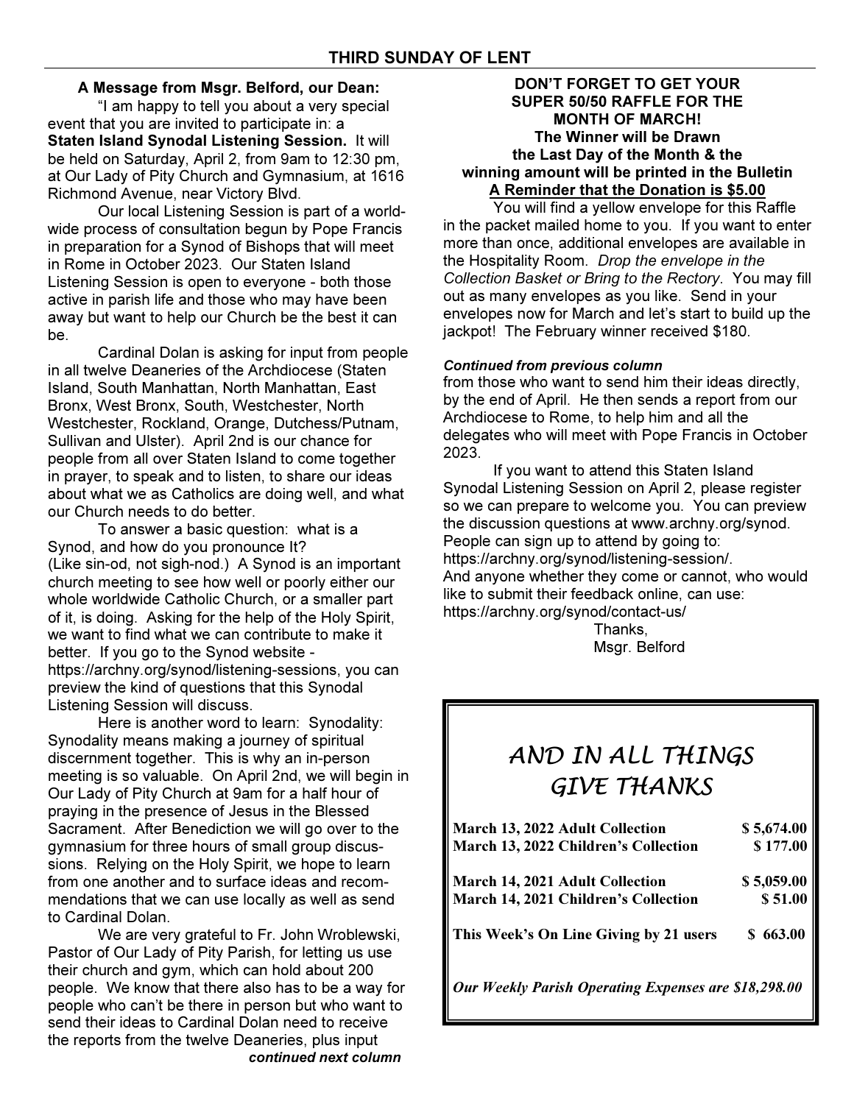# A Message from Msgr. Belford, our Dean:

 "I am happy to tell you about a very special event that you are invited to participate in: a Staten Island Synodal Listening Session. It will be held on Saturday, April 2, from 9am to 12:30 pm, at Our Lady of Pity Church and Gymnasium, at 1616 Richmond Avenue, near Victory Blvd.

 Our local Listening Session is part of a worldwide process of consultation begun by Pope Francis in preparation for a Synod of Bishops that will meet in Rome in October 2023. Our Staten Island Listening Session is open to everyone - both those active in parish life and those who may have been away but want to help our Church be the best it can be.

 Cardinal Dolan is asking for input from people in all twelve Deaneries of the Archdiocese (Staten Island, South Manhattan, North Manhattan, East Bronx, West Bronx, South, Westchester, North Westchester, Rockland, Orange, Dutchess/Putnam, Sullivan and Ulster). April 2nd is our chance for people from all over Staten Island to come together in prayer, to speak and to listen, to share our ideas about what we as Catholics are doing well, and what our Church needs to do better.

 To answer a basic question: what is a Synod, and how do you pronounce It? (Like sin-od, not sigh-nod.) A Synod is an important church meeting to see how well or poorly either our whole worldwide Catholic Church, or a smaller part of it, is doing. Asking for the help of the Holy Spirit, we want to find what we can contribute to make it better. If you go to the Synod website https://archny.org/synod/listening-sessions, you can preview the kind of questions that this Synodal Listening Session will discuss.

 Here is another word to learn: Synodality: Synodality means making a journey of spiritual discernment together. This is why an in-person meeting is so valuable. On April 2nd, we will begin in Our Lady of Pity Church at 9am for a half hour of praying in the presence of Jesus in the Blessed Sacrament. After Benediction we will go over to the gymnasium for three hours of small group discussions. Relying on the Holy Spirit, we hope to learn from one another and to surface ideas and recommendations that we can use locally as well as send to Cardinal Dolan.

 We are very grateful to Fr. John Wroblewski, Pastor of Our Lady of Pity Parish, for letting us use their church and gym, which can hold about 200 people. We know that there also has to be a way for people who can't be there in person but who want to send their ideas to Cardinal Dolan need to receive the reports from the twelve Deaneries, plus input continued next column

## DON'T FORGET TO GET YOUR SUPER 50/50 RAFFLE FOR THE MONTH OF MARCH! The Winner will be Drawn the Last Day of the Month & the winning amount will be printed in the Bulletin A Reminder that the Donation is \$5.00

 You will find a yellow envelope for this Raffle in the packet mailed home to you. If you want to enter more than once, additional envelopes are available in the Hospitality Room. Drop the envelope in the Collection Basket or Bring to the Rectory. You may fill out as many envelopes as you like. Send in your envelopes now for March and let's start to build up the jackpot! The February winner received \$180.

## Continued from previous column

from those who want to send him their ideas directly, by the end of April. He then sends a report from our Archdiocese to Rome, to help him and all the delegates who will meet with Pope Francis in October 2023.

 If you want to attend this Staten Island Synodal Listening Session on April 2, please register so we can prepare to welcome you. You can preview the discussion questions at www.archny.org/synod. People can sign up to attend by going to: https://archny.org/synod/listening-session/. And anyone whether they come or cannot, who would like to submit their feedback online, can use: https://archny.org/synod/contact-us/

 Thanks, Msgr. Belford

# AND IN ALL THINGS GIVE THANKS

| March 13, 2022 Adult Collection                             | \$5,674.00 |
|-------------------------------------------------------------|------------|
| March 13, 2022 Children's Collection                        | \$177.00   |
| March 14, 2021 Adult Collection                             | \$5,059.00 |
| March 14, 2021 Children's Collection                        | \$51.00    |
| This Week's On Line Giving by 21 users                      | \$663.00   |
| <b>Our Weekly Parish Operating Expenses are \$18,298.00</b> |            |